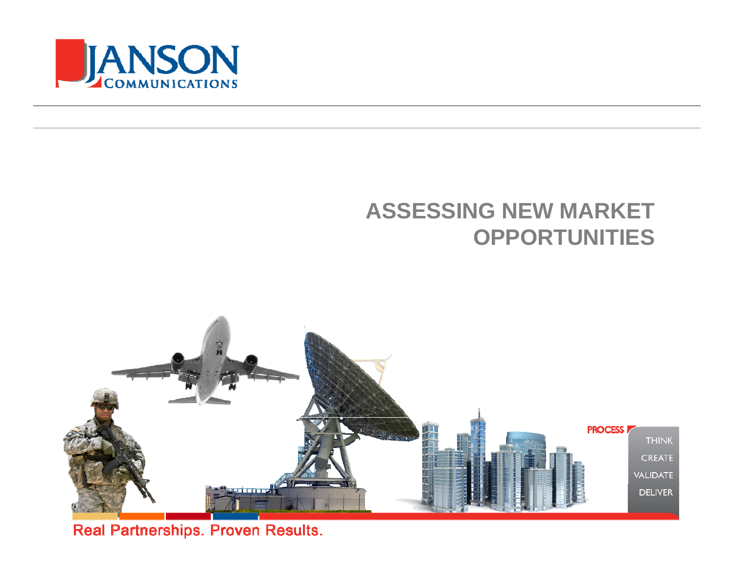

#### **ASSESSING NEW MARKETOPPORTUNITIES**



Real Partnerships. Proven Results.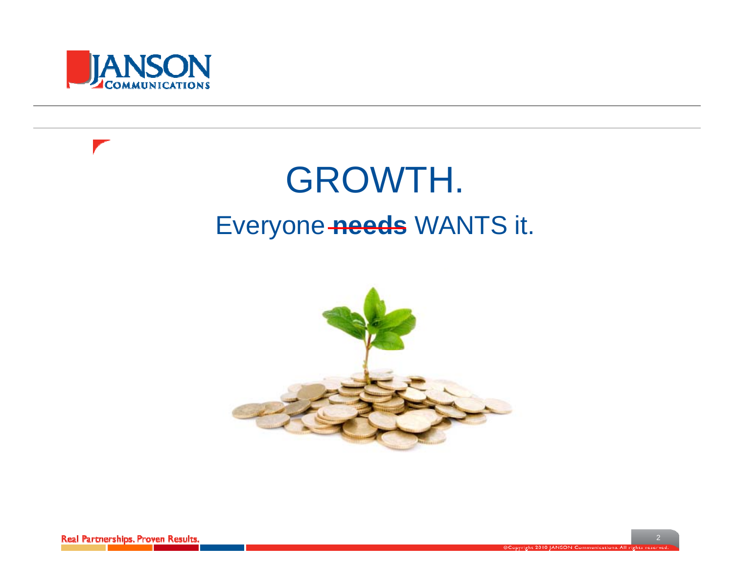

**Contract Contract Contract Contract Contract Contract Contract Contract Contract Contract Contract Contract Contract Contract Contract Contract Contract Contract Contract Contract Contract Contract Contract Contract Contr** 

## GROWTH. Everyone needs WANTS it.

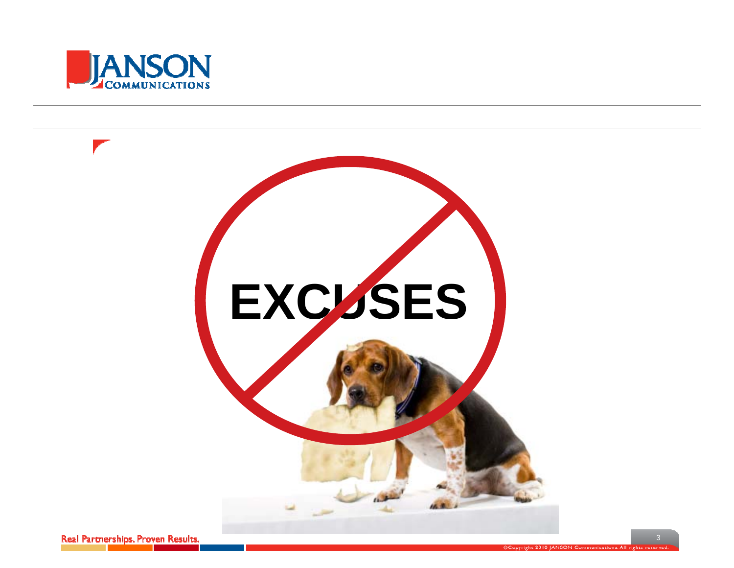

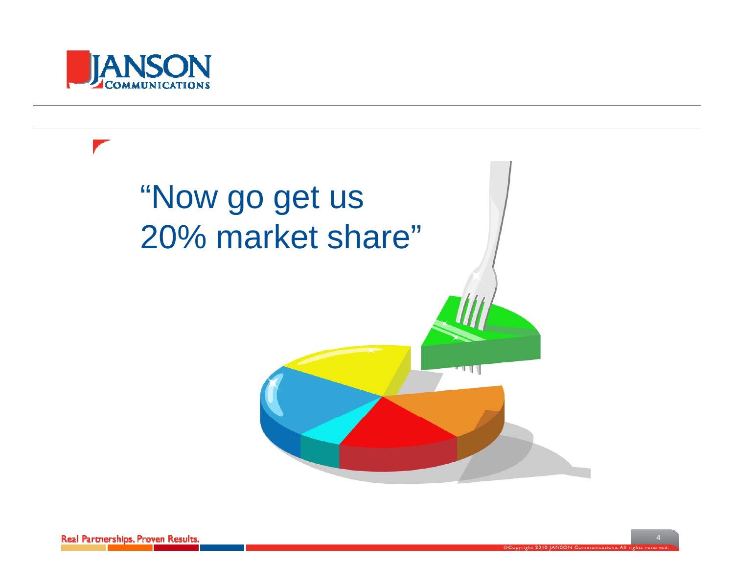

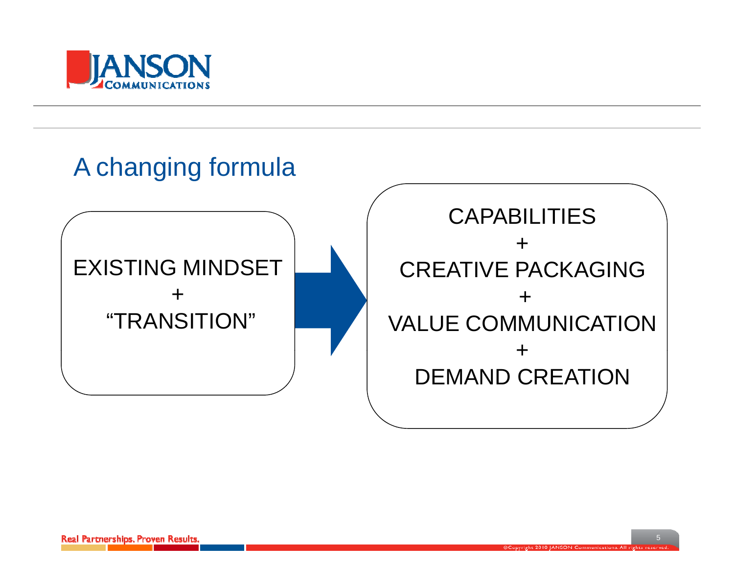

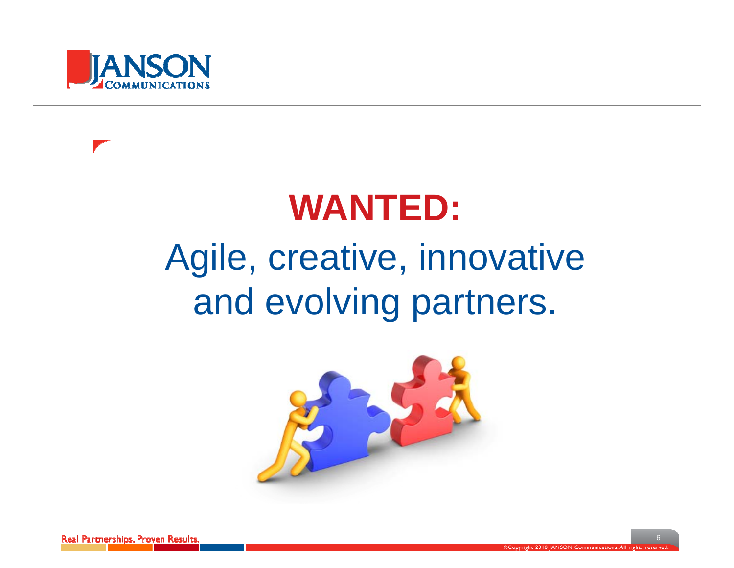



## **WANTED:**

## Agile, creative, innovative and evolving partners.



Real Partnerships, Proven Results.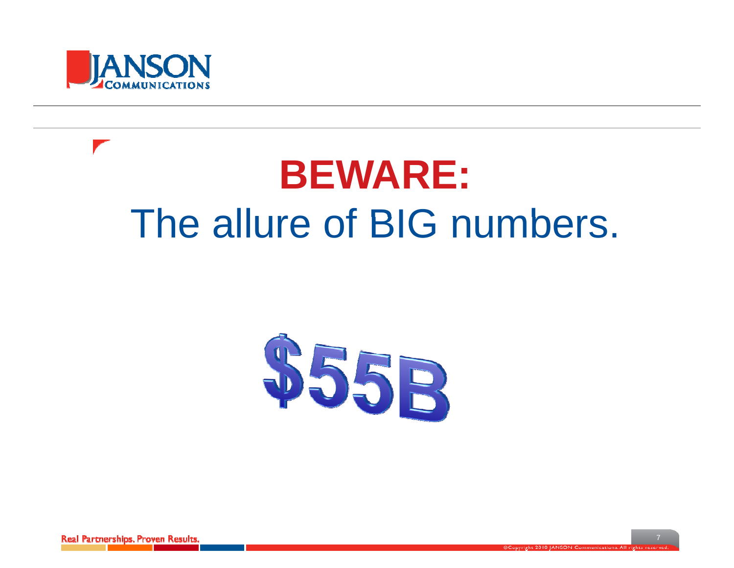

# **BEWARE:** The allure of BIG numbers.



Real Partnerships, Proven Results.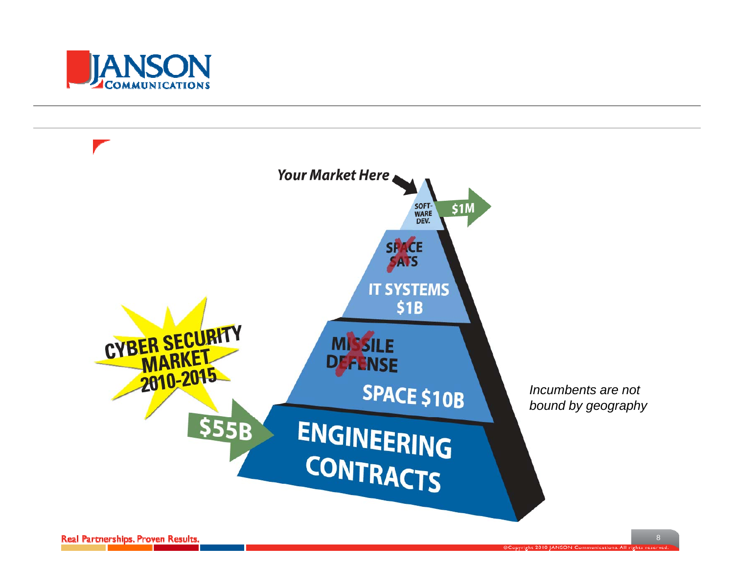

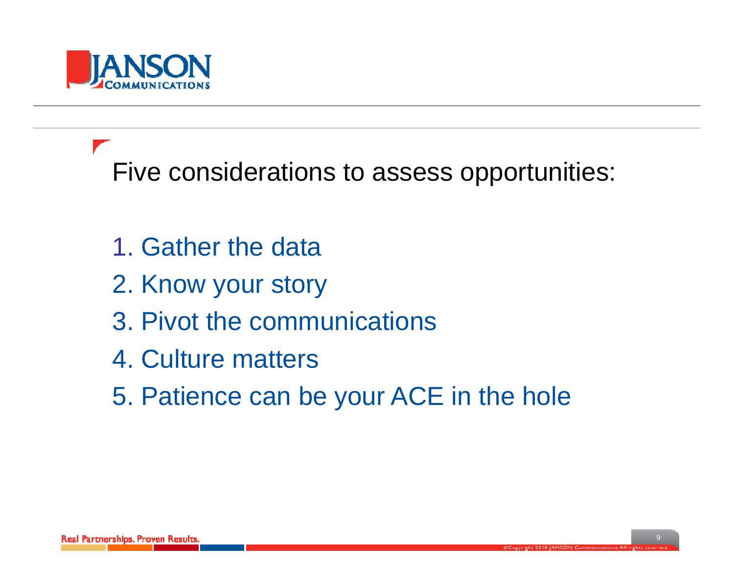

Five considerations to assess opportunities:

- 1. Gather the data
- 2. Know your story
- 3. Pivot the communications
- 4. Culture matters
- 5. Patience can be your ACE in the hole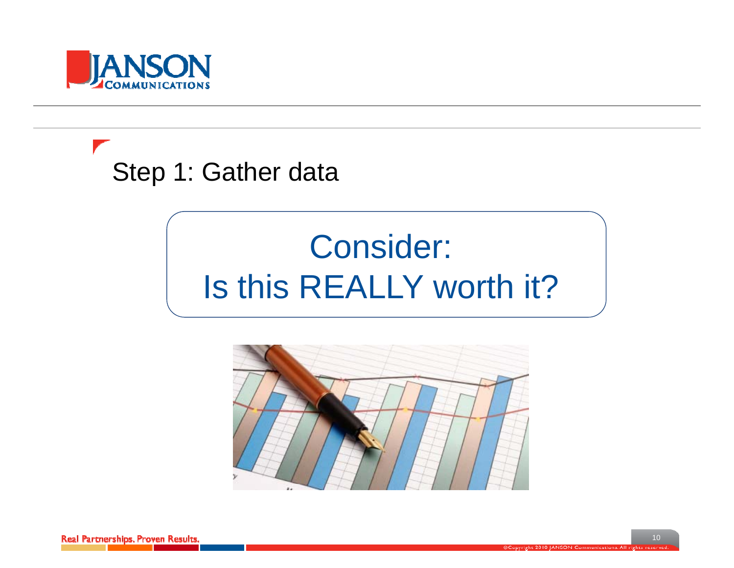

Step 1: Gather data

## Consider: Is this REALLY worth it?

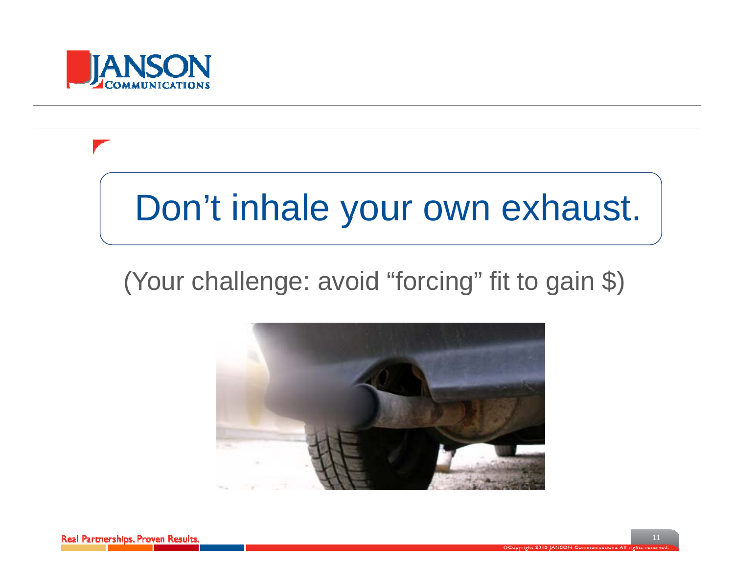

## Don't inhale your own exhaust.

#### (Your challenge: avoid "forcing" fit to gain \$)



Real Partnerships, Proven Results.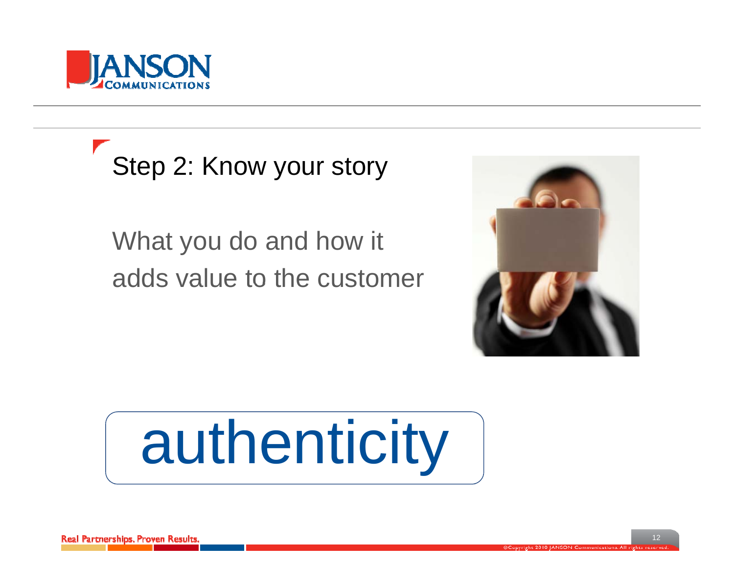

Step 2: Know your story

What you do and how it adds value to the customer



# authenticity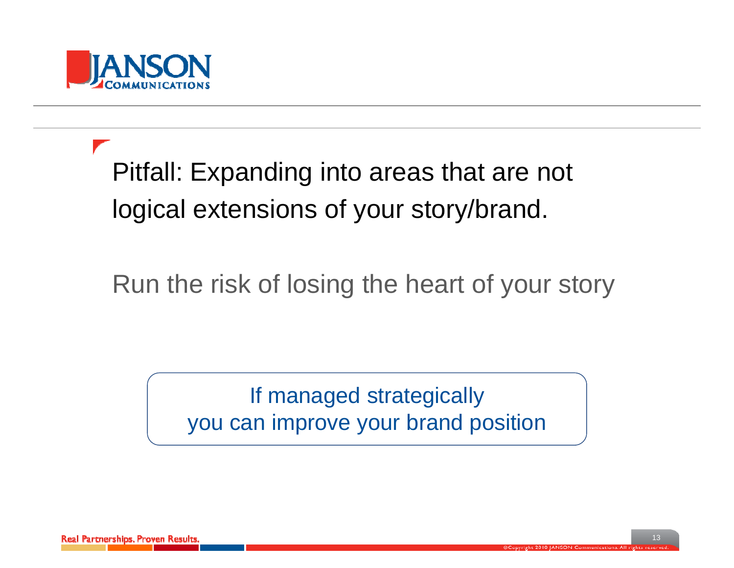

Pitfall: Expanding into areas that are not logical extensions of your story/brand.

Run the risk of losing the heart of your story

If managed strategically you can improve your brand position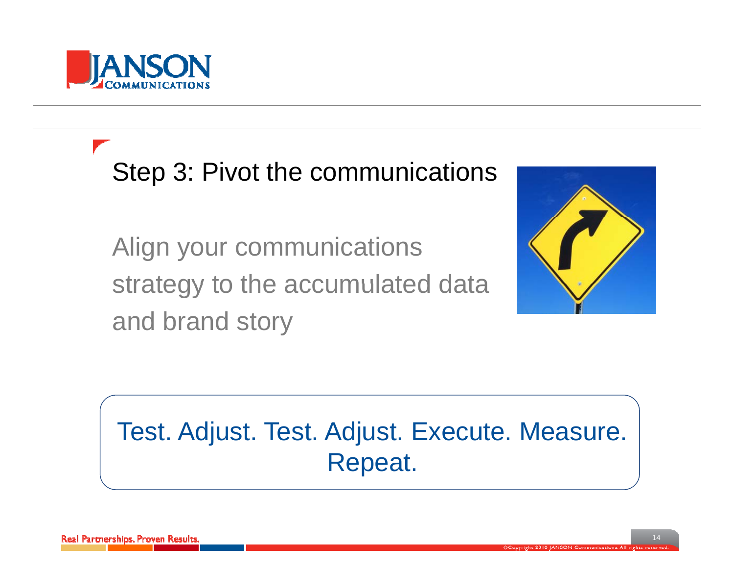

Step 3: Pivot the communications

Align your communications strategy to the accumulated data and brand story



#### Test. Adjust. Test. Adjust. Execute. Measure. Repeat.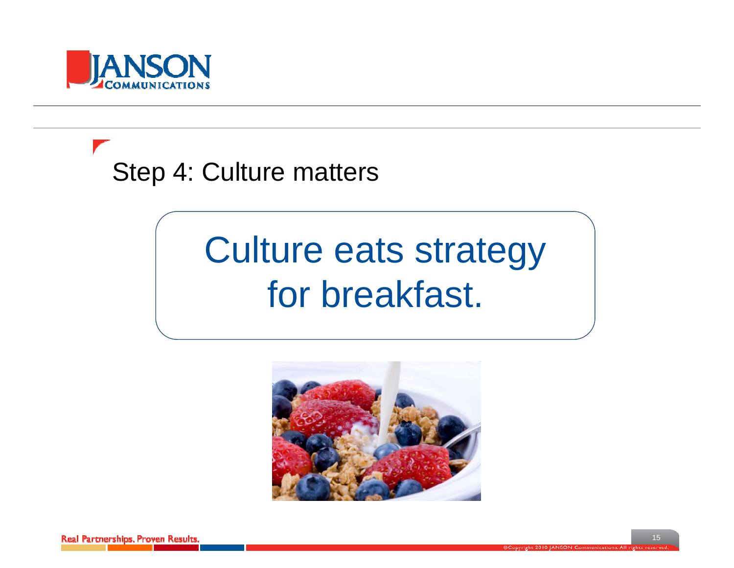

Step 4: Culture matters

## Culture eats strategy for breakfast.

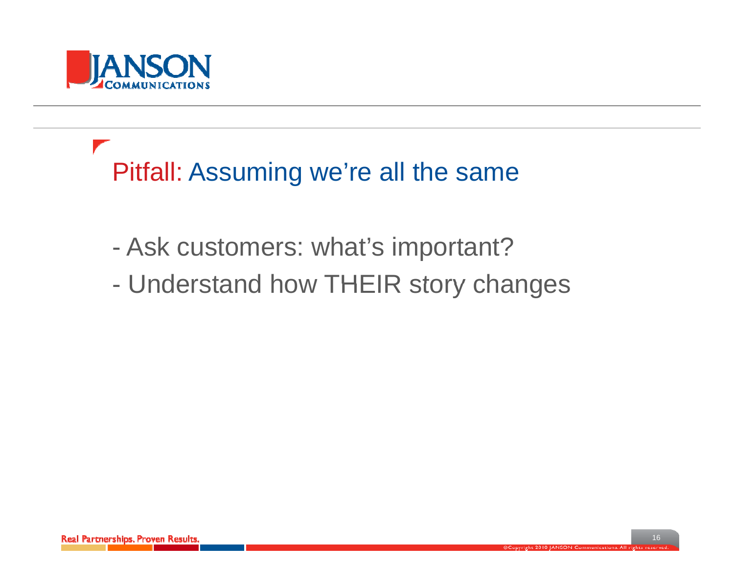

Pitfall: Assuming we're all the same

- -Ask customers: what's important?
- Understand how THEIR story changes  $\mathcal{L}_{\mathcal{A}}$ - Understand how THEIR story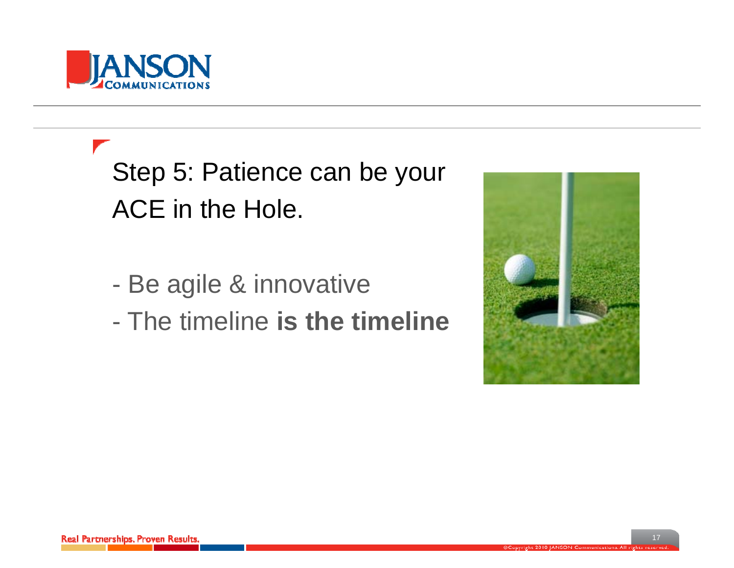

Step 5: Patience can be your ACE in the Hole.

- Be agile & innovative - De aylie & IIIIIUvaliv
- The timeline **is the timeline**

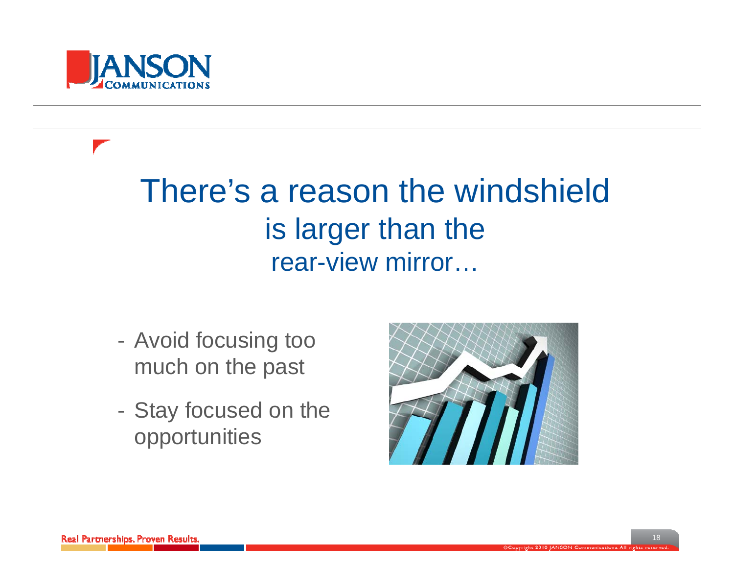

#### There's a reason the windshield is larger than the rear-view mirror...

- Avoid focusing too much on the past
- Stay focused on the opportunities